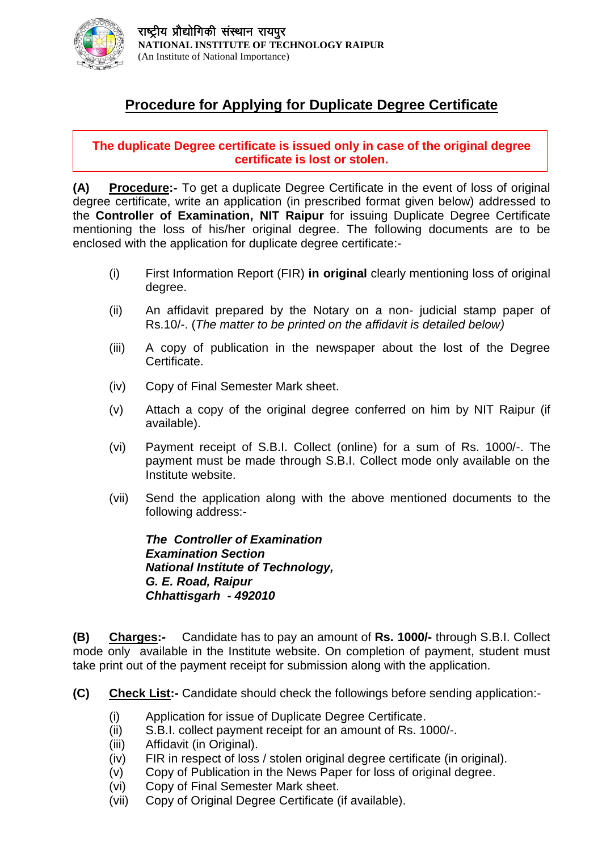

## **Procedure for Applying for Duplicate Degree Certificate**

**The duplicate Degree certificate is issued only in case of the original degree certificate is lost or stolen.**

**(A) Procedure:-** To get a duplicate Degree Certificate in the event of loss of original degree certificate, write an application (in prescribed format given below) addressed to the **Controller of Examination, NIT Raipur** for issuing Duplicate Degree Certificate mentioning the loss of his/her original degree. The following documents are to be enclosed with the application for duplicate degree certificate:-

- (i) First Information Report (FIR) **in original** clearly mentioning loss of original degree.
- (ii) An affidavit prepared by the Notary on a non- judicial stamp paper of Rs.10/-. (*The matter to be printed on the affidavit is detailed below)*
- (iii) A copy of publication in the newspaper about the lost of the Degree Certificate.
- (iv) Copy of Final Semester Mark sheet.
- (v) Attach a copy of the original degree conferred on him by NIT Raipur (if available).
- (vi) Payment receipt of S.B.I. Collect (online) for a sum of Rs. 1000/-. The payment must be made through S.B.I. Collect mode only available on the Institute website.
- (vii) Send the application along with the above mentioned documents to the following address:-

*The Controller of Examination Examination Section National Institute of Technology, G. E. Road, Raipur Chhattisgarh - 492010* 

**(B) Charges:-** Candidate has to pay an amount of **Rs. 1000/-** through S.B.I. Collect mode only available in the Institute website. On completion of payment, student must take print out of the payment receipt for submission along with the application.

**(C) Check List:-** Candidate should check the followings before sending application:-

- (i) Application for issue of Duplicate Degree Certificate.
- (ii) S.B.I. collect payment receipt for an amount of Rs. 1000/-.
- (iii) Affidavit (in Original).
- (iv) FIR in respect of loss / stolen original degree certificate (in original).
- (v) Copy of Publication in the News Paper for loss of original degree.
- (vi) Copy of Final Semester Mark sheet.
- (vii) Copy of Original Degree Certificate (if available).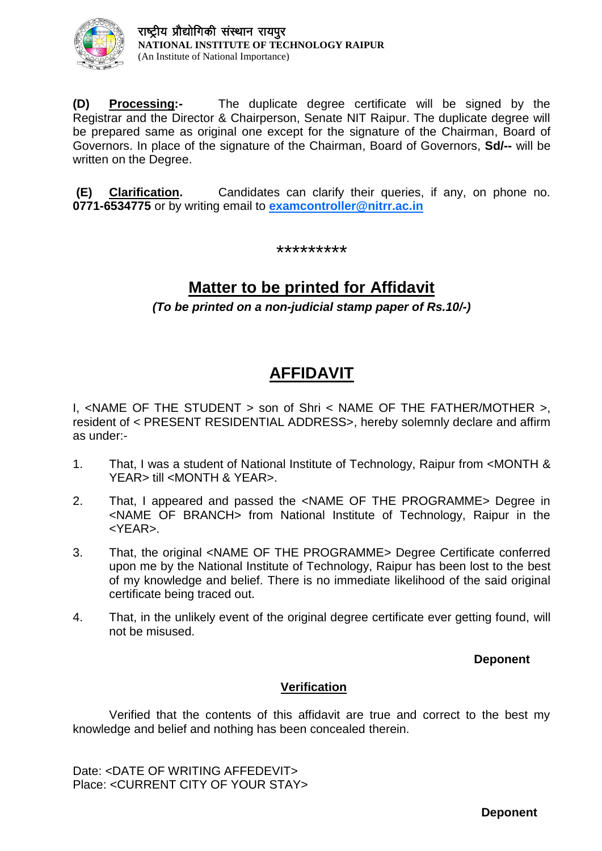

**(D) Processing:-** The duplicate degree certificate will be signed by the Registrar and the Director & Chairperson, Senate NIT Raipur. The duplicate degree will be prepared same as original one except for the signature of the Chairman, Board of Governors. In place of the signature of the Chairman, Board of Governors, **Sd/--** will be written on the Degree.

**(E) Clarification.** Candidates can clarify their queries, if any, on phone no. **0771-6534775** or by writing email to **[examcontroller@nitrr.ac.in](mailto:examcontroller@nitrr.ac.in)**

\*\*\*\*\*\*\*\*\*

## **Matter to be printed for Affidavit**

*(To be printed on a non-judicial stamp paper of Rs.10/-)*

# **AFFIDAVIT**

I, <NAME OF THE STUDENT > son of Shri < NAME OF THE FATHER/MOTHER >, resident of < PRESENT RESIDENTIAL ADDRESS>, hereby solemnly declare and affirm as under:-

- 1. That, I was a student of National Institute of Technology, Raipur from <MONTH & YEAR> till <MONTH & YEAR>.
- 2. That, I appeared and passed the <NAME OF THE PROGRAMME> Degree in <NAME OF BRANCH> from National Institute of Technology, Raipur in the <YEAR>.
- 3. That, the original <NAME OF THE PROGRAMME> Degree Certificate conferred upon me by the National Institute of Technology, Raipur has been lost to the best of my knowledge and belief. There is no immediate likelihood of the said original certificate being traced out.
- 4. That, in the unlikely event of the original degree certificate ever getting found, will not be misused.

### **Deponent**

### **Verification**

Verified that the contents of this affidavit are true and correct to the best my knowledge and belief and nothing has been concealed therein.

Date: <DATE OF WRITING AFFEDEVIT> Place: <CURRENT CITY OF YOUR STAY>